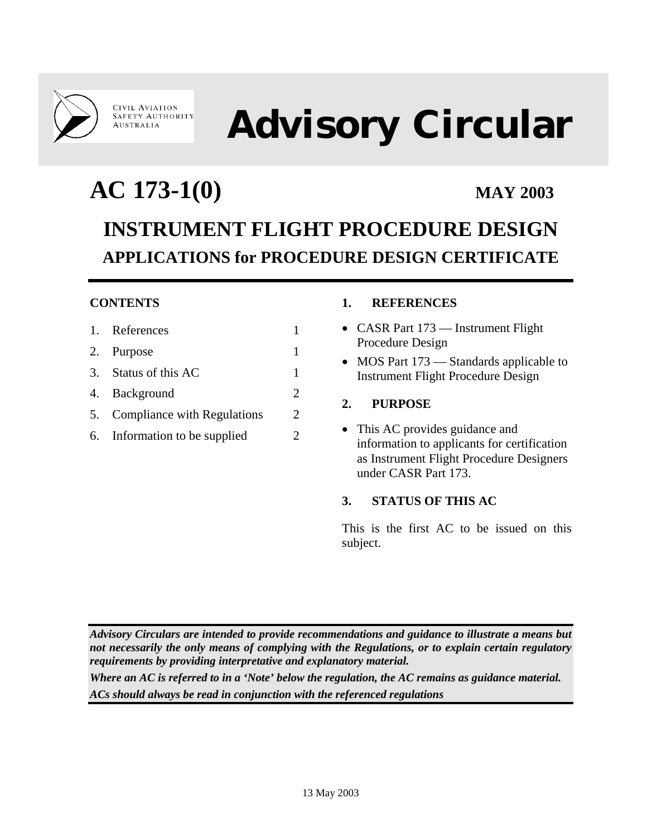

#### **CIVIL AVIATION** SAFETY AUTHORITY AUSTRALIA

# **Advisory Circular**

## **AC 173-1(0) MAY 2003**

### **INSTRUMENT FLIGHT PROCEDURE DESIGN APPLICATIONS for PROCEDURE DESIGN CERTIFICATE**

### **CONTENTS**

| 1. References                  |                             |
|--------------------------------|-----------------------------|
| 2. Purpose                     |                             |
| 3. Status of this AC           |                             |
| 4. Background                  | $\mathcal{D}_{\mathcal{L}}$ |
| 5. Compliance with Regulations | 2                           |
| 6. Information to be supplied  | 2                           |

#### **1. REFERENCES**

- CASR Part 173 Instrument Flight Procedure Design
- MOS Part 173 Standards applicable to Instrument Flight Procedure Design

#### **2. PURPOSE**

• This AC provides guidance and information to applicants for certification as Instrument Flight Procedure Designers under CASR Part 173.

#### **3. STATUS OF THIS AC**

This is the first AC to be issued on this subject.

*Advisory Circulars are intended to provide recommendations and guidance to illustrate a means but not necessarily the only means of complying with the Regulations, or to explain certain regulatory requirements by providing interpretative and explanatory material.* 

*Where an AC is referred to in a 'Note' below the regulation, the AC remains as guidance material. ACs should always be read in conjunction with the referenced regulations*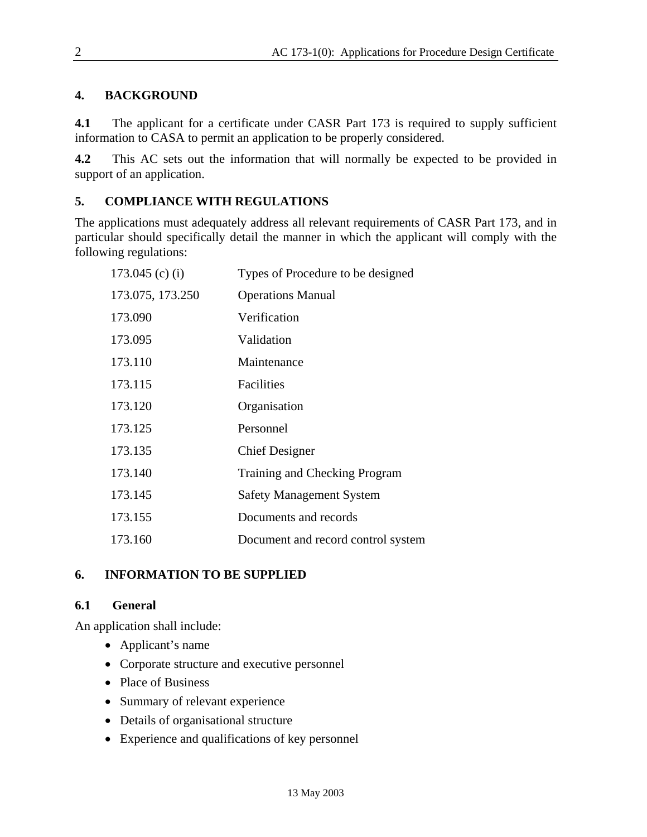#### **4. BACKGROUND**

**4.1** The applicant for a certificate under CASR Part 173 is required to supply sufficient information to CASA to permit an application to be properly considered.

**4.2** This AC sets out the information that will normally be expected to be provided in support of an application.

#### **5. COMPLIANCE WITH REGULATIONS**

The applications must adequately address all relevant requirements of CASR Part 173, and in particular should specifically detail the manner in which the applicant will comply with the following regulations:

| 173.045 (c) (i)  | Types of Procedure to be designed  |
|------------------|------------------------------------|
| 173.075, 173.250 | <b>Operations Manual</b>           |
| 173.090          | Verification                       |
| 173.095          | Validation                         |
| 173.110          | Maintenance                        |
| 173.115          | Facilities                         |
| 173.120          | Organisation                       |
| 173.125          | Personnel                          |
| 173.135          | <b>Chief Designer</b>              |
| 173.140          | Training and Checking Program      |
| 173.145          | <b>Safety Management System</b>    |
| 173.155          | Documents and records              |
| 173.160          | Document and record control system |

#### **6. INFORMATION TO BE SUPPLIED**

#### **6.1 General**

An application shall include:

- Applicant's name
- Corporate structure and executive personnel
- Place of Business
- Summary of relevant experience
- Details of organisational structure
- Experience and qualifications of key personnel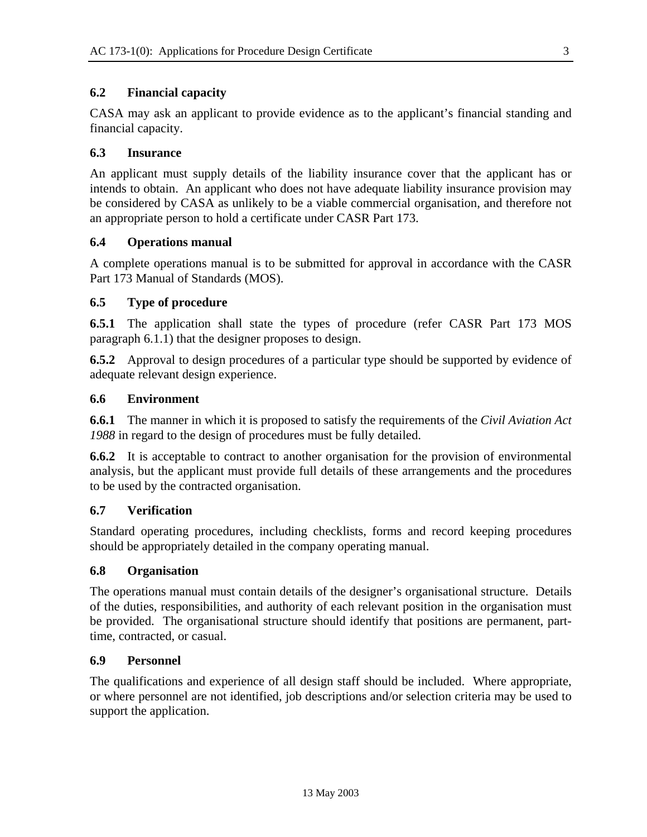#### **6.2 Financial capacity**

CASA may ask an applicant to provide evidence as to the applicant's financial standing and financial capacity.

#### **6.3 Insurance**

An applicant must supply details of the liability insurance cover that the applicant has or intends to obtain. An applicant who does not have adequate liability insurance provision may be considered by CASA as unlikely to be a viable commercial organisation, and therefore not an appropriate person to hold a certificate under CASR Part 173.

#### **6.4 Operations manual**

A complete operations manual is to be submitted for approval in accordance with the CASR Part 173 Manual of Standards (MOS).

#### **6.5 Type of procedure**

**6.5.1** The application shall state the types of procedure (refer CASR Part 173 MOS paragraph 6.1.1) that the designer proposes to design.

**6.5.2** Approval to design procedures of a particular type should be supported by evidence of adequate relevant design experience.

#### **6.6 Environment**

**6.6.1** The manner in which it is proposed to satisfy the requirements of the *Civil Aviation Act 1988* in regard to the design of procedures must be fully detailed.

**6.6.2** It is acceptable to contract to another organisation for the provision of environmental analysis, but the applicant must provide full details of these arrangements and the procedures to be used by the contracted organisation.

#### **6.7 Verification**

Standard operating procedures, including checklists, forms and record keeping procedures should be appropriately detailed in the company operating manual.

#### **6.8 Organisation**

The operations manual must contain details of the designer's organisational structure. Details of the duties, responsibilities, and authority of each relevant position in the organisation must be provided. The organisational structure should identify that positions are permanent, parttime, contracted, or casual.

#### **6.9 Personnel**

The qualifications and experience of all design staff should be included. Where appropriate, or where personnel are not identified, job descriptions and/or selection criteria may be used to support the application.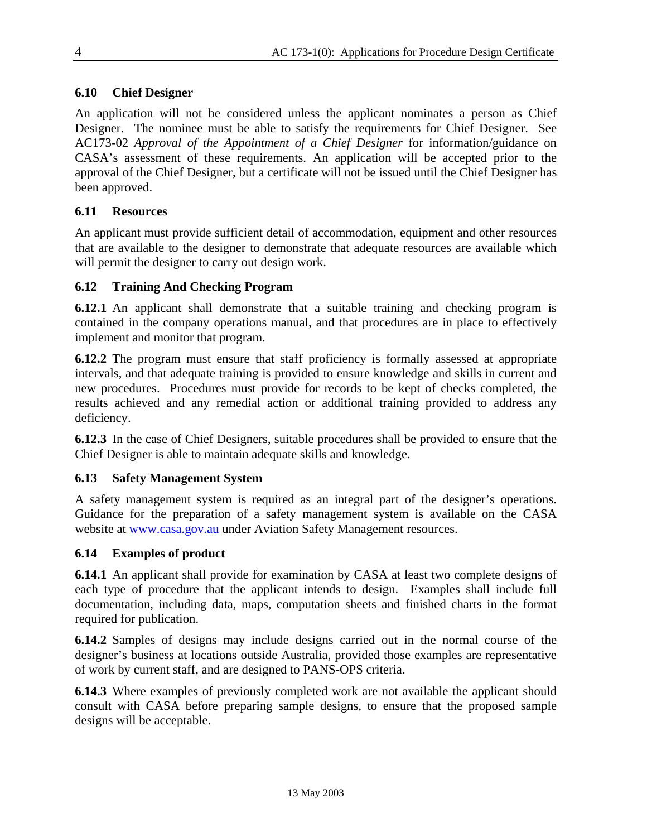#### **6.10 Chief Designer**

An application will not be considered unless the applicant nominates a person as Chief Designer. The nominee must be able to satisfy the requirements for Chief Designer. See AC173-02 *Approval of the Appointment of a Chief Designer* for information/guidance on CASA's assessment of these requirements. An application will be accepted prior to the approval of the Chief Designer, but a certificate will not be issued until the Chief Designer has been approved.

#### **6.11 Resources**

An applicant must provide sufficient detail of accommodation, equipment and other resources that are available to the designer to demonstrate that adequate resources are available which will permit the designer to carry out design work.

#### **6.12 Training And Checking Program**

**6.12.1** An applicant shall demonstrate that a suitable training and checking program is contained in the company operations manual, and that procedures are in place to effectively implement and monitor that program.

**6.12.2** The program must ensure that staff proficiency is formally assessed at appropriate intervals, and that adequate training is provided to ensure knowledge and skills in current and new procedures. Procedures must provide for records to be kept of checks completed, the results achieved and any remedial action or additional training provided to address any deficiency.

**6.12.3** In the case of Chief Designers, suitable procedures shall be provided to ensure that the Chief Designer is able to maintain adequate skills and knowledge.

#### **6.13 Safety Management System**

A safety management system is required as an integral part of the designer's operations. Guidance for the preparation of a safety management system is available on the CASA website at [www.casa.gov.au](http://www.casa.gov.au/) under Aviation Safety Management resources.

#### **6.14 Examples of product**

**6.14.1** An applicant shall provide for examination by CASA at least two complete designs of each type of procedure that the applicant intends to design. Examples shall include full documentation, including data, maps, computation sheets and finished charts in the format required for publication.

**6.14.2** Samples of designs may include designs carried out in the normal course of the designer's business at locations outside Australia, provided those examples are representative of work by current staff, and are designed to PANS-OPS criteria.

**6.14.3** Where examples of previously completed work are not available the applicant should consult with CASA before preparing sample designs, to ensure that the proposed sample designs will be acceptable.